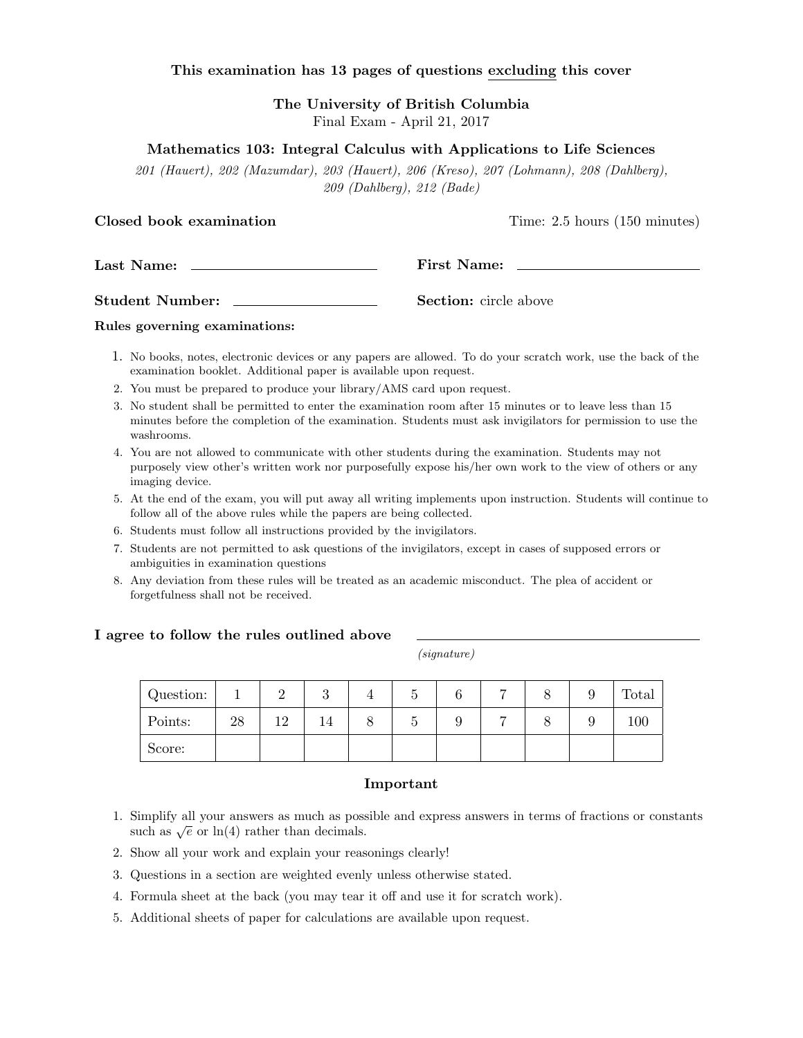### This examination has 13 pages of questions excluding this cover

The University of British Columbia Final Exam - April 21, 2017

### Mathematics 103: Integral Calculus with Applications to Life Sciences

201 (Hauert), 202 (Mazumdar), 203 (Hauert), 206 (Kreso), 207 (Lohmann), 208 (Dahlberg), 209 (Dahlberg), 212 (Bade)

Closed book examination Time: 2.5 hours (150 minutes)

Last Name: First Name:

Student Number: Section: circle above

### Rules governing examinations:

- 1. No books, notes, electronic devices or any papers are allowed. To do your scratch work, use the back of the examination booklet. Additional paper is available upon request.
- 2. You must be prepared to produce your library/AMS card upon request.
- 3. No student shall be permitted to enter the examination room after 15 minutes or to leave less than 15 minutes before the completion of the examination. Students must ask invigilators for permission to use the washrooms.
- 4. You are not allowed to communicate with other students during the examination. Students may not purposely view other's written work nor purposefully expose his/her own work to the view of others or any imaging device.
- 5. At the end of the exam, you will put away all writing implements upon instruction. Students will continue to follow all of the above rules while the papers are being collected.
- 6. Students must follow all instructions provided by the invigilators.
- 7. Students are not permitted to ask questions of the invigilators, except in cases of supposed errors or ambiguities in examination questions
- 8. Any deviation from these rules will be treated as an academic misconduct. The plea of accident or forgetfulness shall not be received.

### I agree to follow the rules outlined above

(signature)

| Question: |    | ∠  | റ<br>ັ | υ | 6 | — | ◡ | Total |
|-----------|----|----|--------|---|---|---|---|-------|
| Points:   | 28 | 19 | 14     | ಲ | υ |   | υ | 100   |
| Score:    |    |    |        |   |   |   |   |       |

### Important

- 1. Simplify all your answers as much as possible and express answers in terms of fractions or constants sumpiny an your answers as much as poss<br>such as  $\sqrt{e}$  or  $\ln(4)$  rather than decimals.
- 2. Show all your work and explain your reasonings clearly!
- 3. Questions in a section are weighted evenly unless otherwise stated.
- 4. Formula sheet at the back (you may tear it off and use it for scratch work).
- 5. Additional sheets of paper for calculations are available upon request.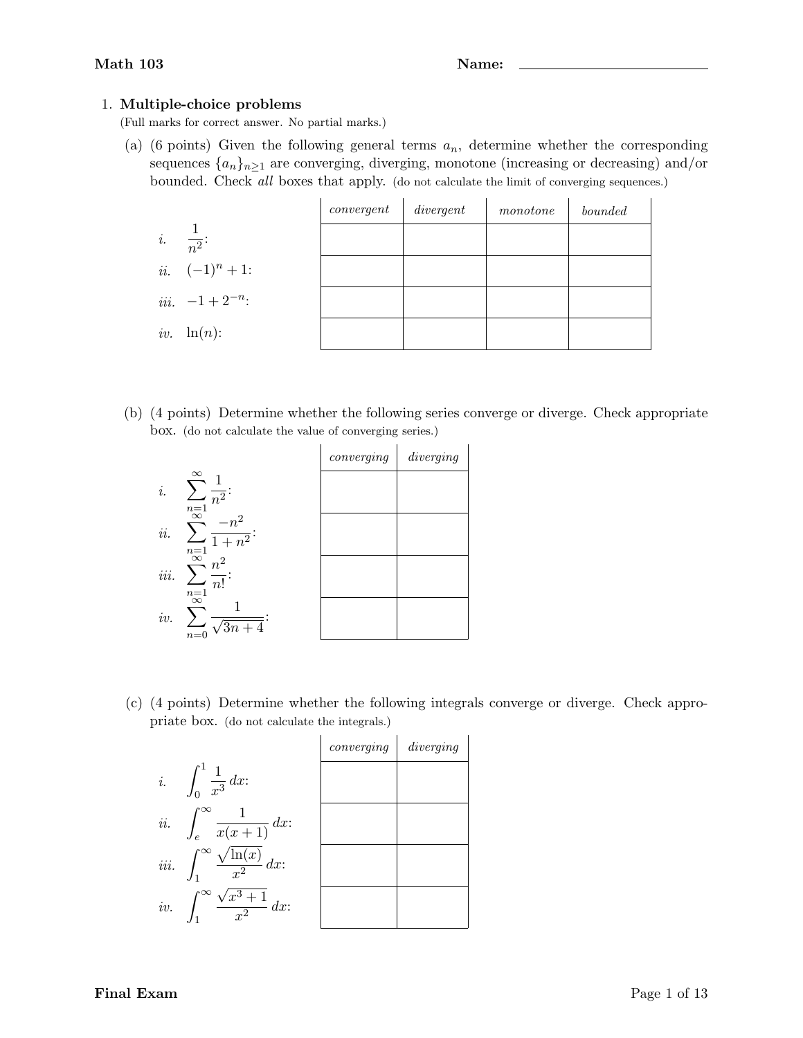# 1. Multiple-choice problems

(Full marks for correct answer. No partial marks.)

(a) (6 points) Given the following general terms  $a_n$ , determine whether the corresponding sequences  $\{a_n\}_{n\geq 1}$  are converging, diverging, monotone (increasing or decreasing) and/or bounded. Check all boxes that apply. (do not calculate the limit of converging sequences.)

|     |                             | convergent | divergent | monotone | bounded |
|-----|-----------------------------|------------|-----------|----------|---------|
|     | <i>i.</i> $\frac{1}{n^2}$   |            |           |          |         |
|     | <i>ii.</i> $(-1)^n + 1$ :   |            |           |          |         |
|     | <i>iii.</i> $-1 + 2^{-n}$ : |            |           |          |         |
| iv. | $\ln(n)$ :                  |            |           |          |         |

(b) (4 points) Determine whether the following series converge or diverge. Check appropriate box. (do not calculate the value of converging series.)

|             |                                                               | converging | diverging |
|-------------|---------------------------------------------------------------|------------|-----------|
| $\dot{i}$ . | $\infty$<br>$\sum_{\substack{n=1\\ \infty}} \overline{n^2}$ . |            |           |
| ii.         | $\overline{2}$ .<br>$\sim$ 1<br>$\stackrel{n=1}{\infty}$      |            |           |
| iii.        | $n^2$<br>n!<br>$\stackrel{n=1}{\infty}$                       |            |           |
| iv.         | $^{\prime}3n$<br>$n=0$                                        |            |           |

(c) (4 points) Determine whether the following integrals converge or diverge. Check appropriate box. (do not calculate the integrals.)

|     |                                                      | converging | diverging |
|-----|------------------------------------------------------|------------|-----------|
|     | <i>i.</i> $\int_0^1 \frac{1}{x^3} dx$ :              |            |           |
|     | <i>ii.</i> $\int_{e}^{\infty} \frac{1}{x(x+1)} dx$ : |            |           |
|     | iii. $\int_1^\infty \frac{\sqrt{\ln(x)}}{x^2} dx$    |            |           |
| iv. | $\int_{1}^{\infty} \frac{\sqrt{x^3+1}}{x^2} dx:$     |            |           |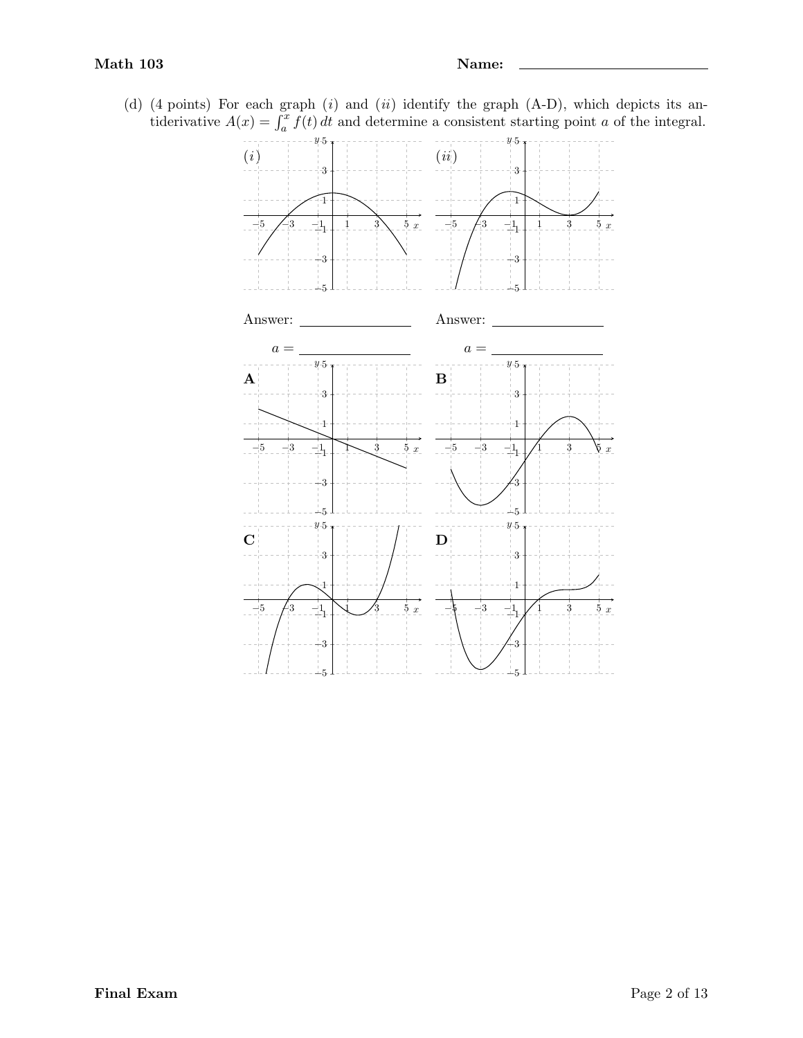(d) (4 points) For each graph  $(i)$  and  $(ii)$  identify the graph  $(A-D)$ , which depicts its antiderivative  $A(x) = \int_a^x f(t) dt$  and determine a consistent starting point a of the integral.

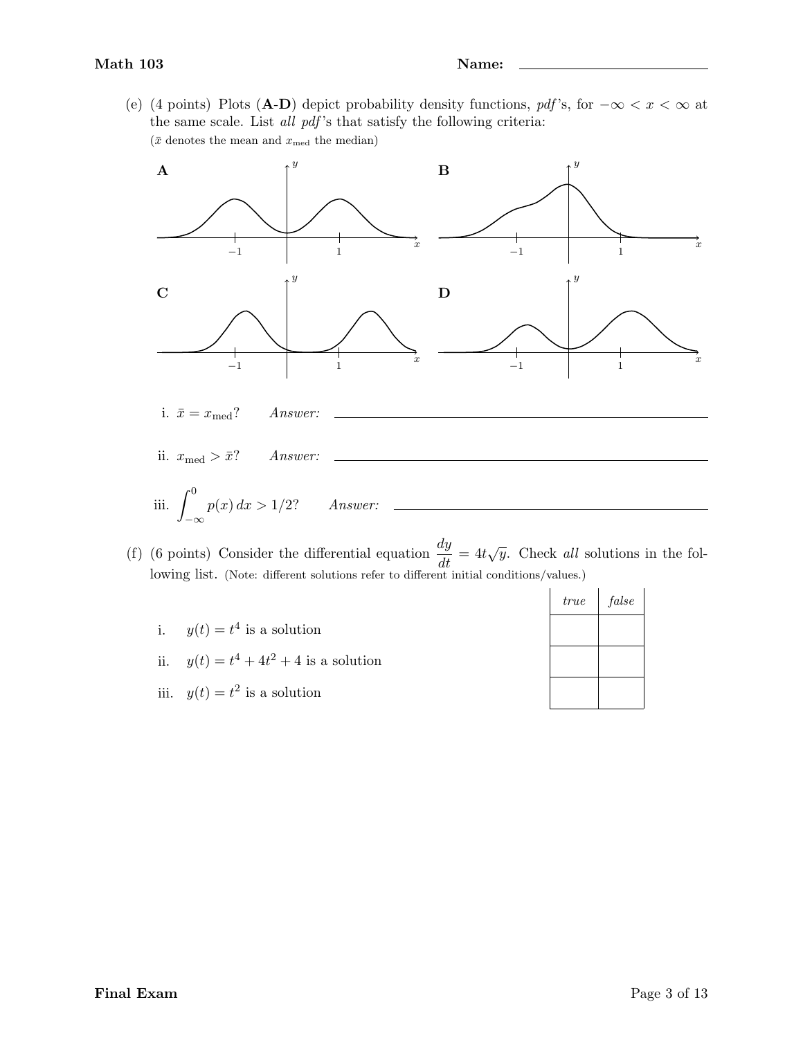(e) (4 points) Plots (A-D) depict probability density functions,  $pdf's$ , for  $-\infty < x < \infty$  at the same scale. List  $all\ pdf$ 's that satisfy the following criteria:  $(\bar{x}$  denotes the mean and  $x_{\text{med}}$  the median)



- (f) (6 points) Consider the differential equation  $\frac{dy}{dt} = 4t\sqrt{y}$ . Check all solutions in the following list. (Note: different solutions refer to different initial conditions/values.)
	- i.  $y(t) = t^4$  is a solution
	- ii.  $y(t) = t^4 + 4t^2 + 4$  is a solution
	- iii.  $y(t) = t^2$  is a solution

| true | false |
|------|-------|
|      |       |
|      |       |
|      |       |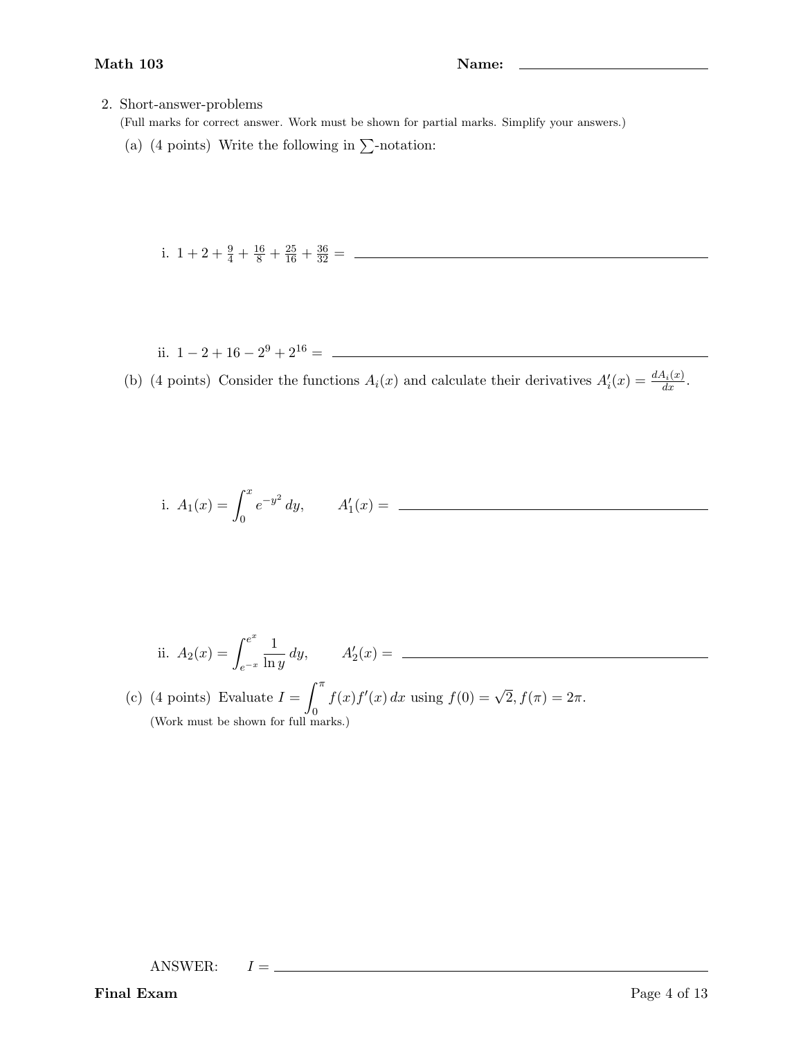# 2. Short-answer-problems

(Full marks for correct answer. Work must be shown for partial marks. Simplify your answers.)

(a) (4 points) Write the following in  $\sum$ -notation:

i. 
$$
1 + 2 + \frac{9}{4} + \frac{16}{8} + \frac{25}{16} + \frac{36}{32} =
$$

ii.  $1 - 2 + 16 - 2^9 + 2^{16} =$ 

(b) (4 points) Consider the functions  $A_i(x)$  and calculate their derivatives  $A'_i(x) = \frac{dA_i(x)}{dx}$ .

i. 
$$
A_1(x) = \int_0^x e^{-y^2} dy
$$
,  $A'_1(x) =$ 

ii. 
$$
A_2(x) = \int_{e^{-x}}^{e^x} \frac{1}{\ln y} dy
$$
,  $A'_2(x) =$ 

(c) (4 points) Evaluate 
$$
I = \int_0^{\pi} f(x)f'(x) dx
$$
 using  $f(0) = \sqrt{2}$ ,  $f(\pi) = 2\pi$ .  
(Work must be shown for full marks.)

ANSWER:  $I =$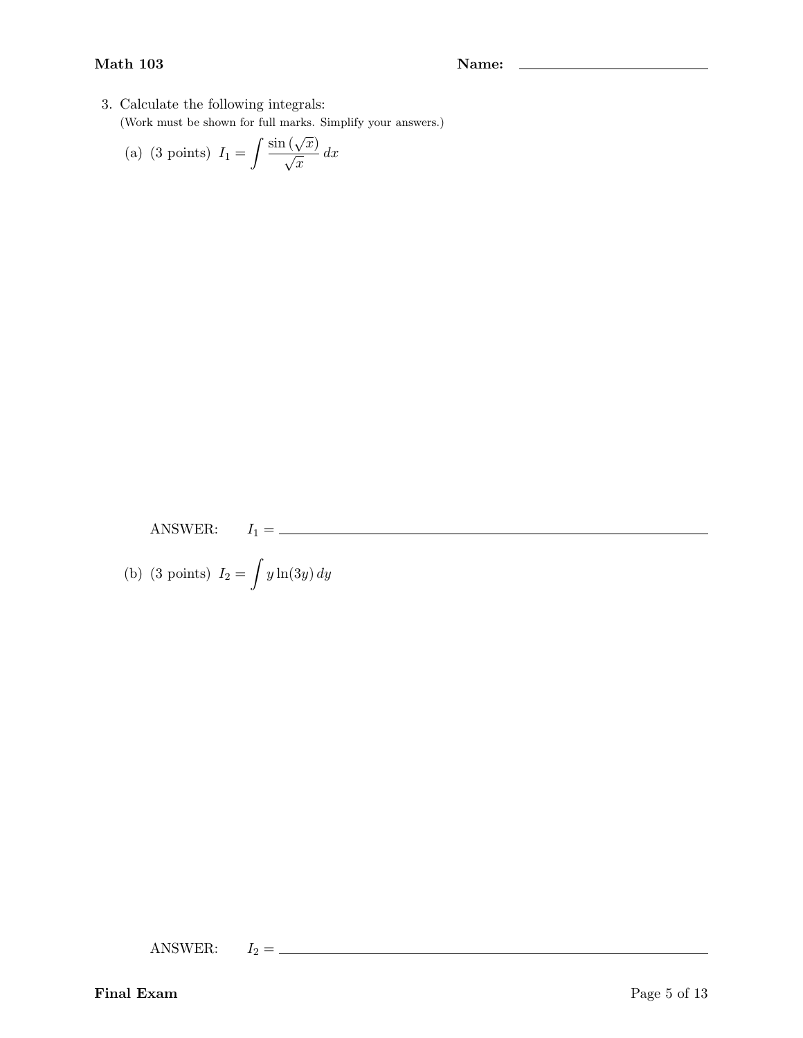### Math 103 Name: 2008 Name: 2008 Name: 2008 Name: 2008 Name: 2008 Name: 2008 Name: 2008 Name: 2008 Name: 2008 Name: 2008 Name: 2008 Name: 2008 Name: 2008 Name: 2008 Name: 2008 Name: 2008 Name: 2008 Name: 2008 Name: 2008 Name

3. Calculate the following integrals: (Work must be shown for full marks. Simplify your answers.)<br> $\int$  (  $\sqrt{2}$  +  $\int$  =  $\int$  =  $\int$  =  $\int$  =  $\int$  =  $\int$  =  $\int$  =  $\int$  =  $\int$  =  $\int$  =  $\int$  =  $\int$  =  $\int$  =  $\int$  =  $\int$  =  $\int$  =  $\int$  =  $\int$  =  $\int$  =  $\int$  =  $\int$ 

(a) (3 points) 
$$
I_1 = \int \frac{\sin(\sqrt{x})}{\sqrt{x}} dx
$$

ANSWER: I<sup>1</sup> =

(b) (3 points) 
$$
I_2 = \int y \ln(3y) \, dy
$$

ANSWER: I<sup>2</sup> =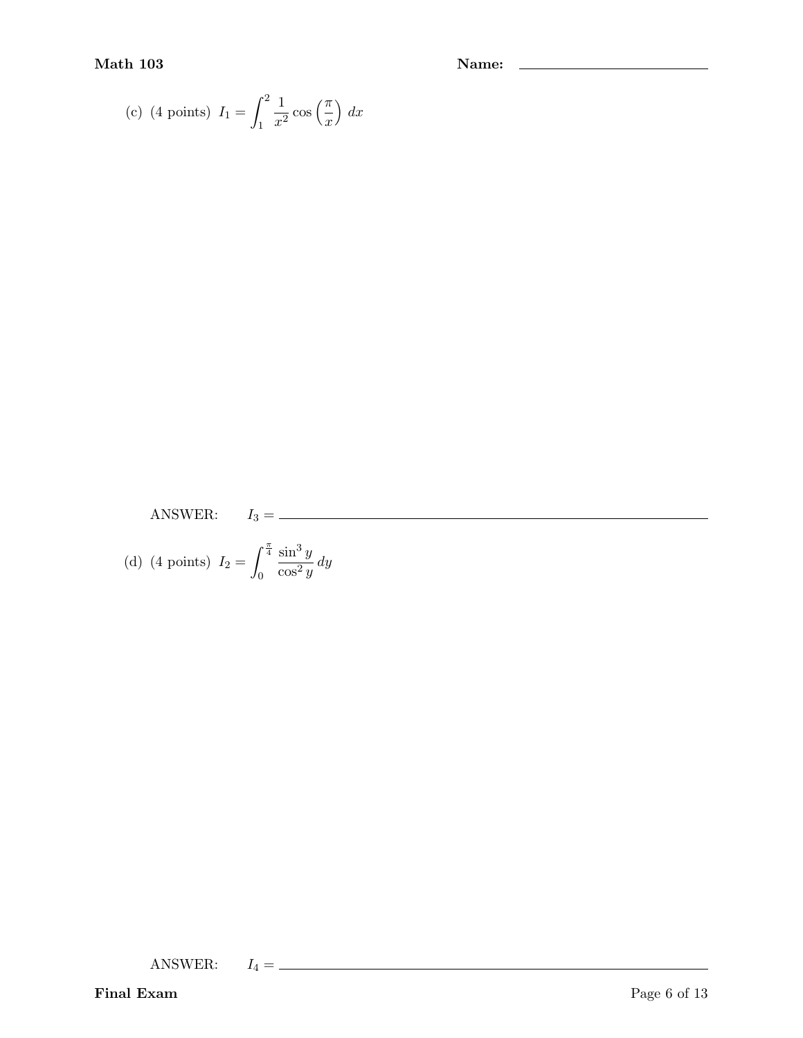Math 103 Name: 2008 Name: 2008 Name: 2008 Name: 2008 Name: 2008 Name: 2008 Name: 2008 Name: 2008 Name: 2008 Name: 2008 Name: 2008 Name: 2008 Name: 2008 Name: 2008 Name: 2008 Name: 2008 Name: 2008 Name: 2008 Name: 2008 Name

(c) (4 points) 
$$
I_1 = \int_1^2 \frac{1}{x^2} \cos\left(\frac{\pi}{x}\right) dx
$$

ANSWER: I<sup>3</sup> =

(d) (4 points)  $I_2 = \int_{0}^{\frac{\pi}{4}}$ 0  $\sin^3 y$  $\frac{\sin y}{\cos^2 y} dy$ 

ANSWER: I<sup>4</sup> =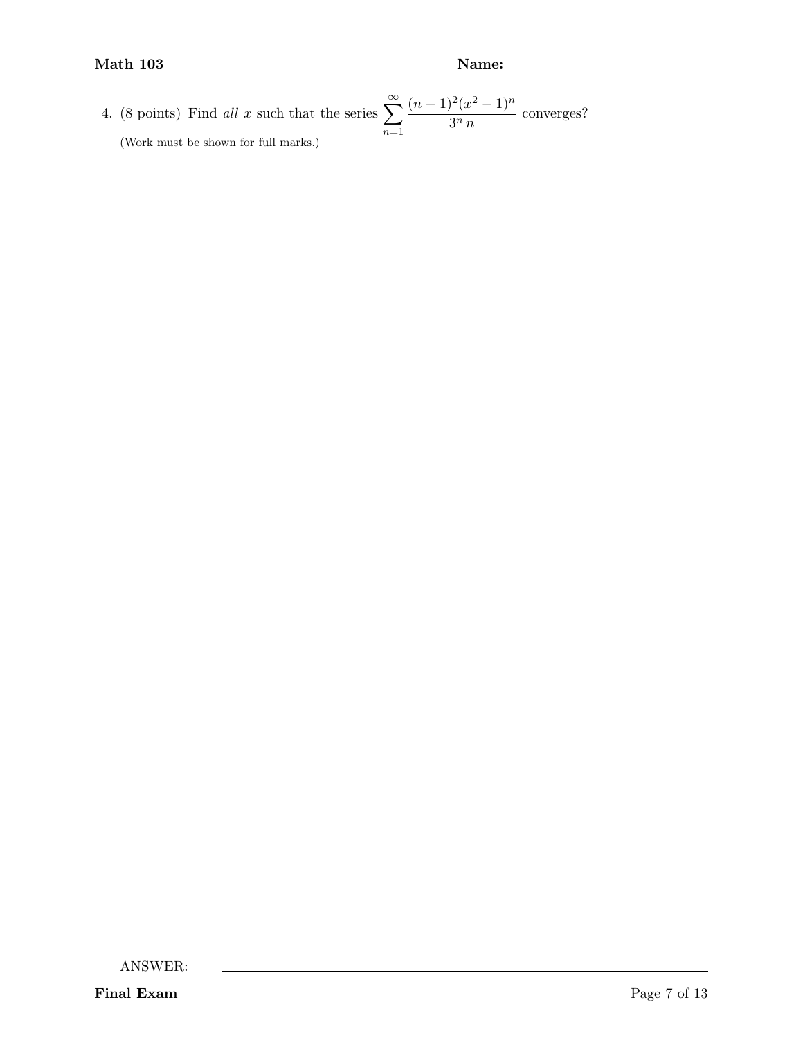4. (8 points) Find all x such that the series  $\sum_{n=1}^{\infty}$  $n=1$  $(n-1)^2(x^2-1)^n$  $\frac{3^n n}{3^n n}$  converges? (Work must be shown for full marks.)

ANSWER:

Final Exam Page 7 of 13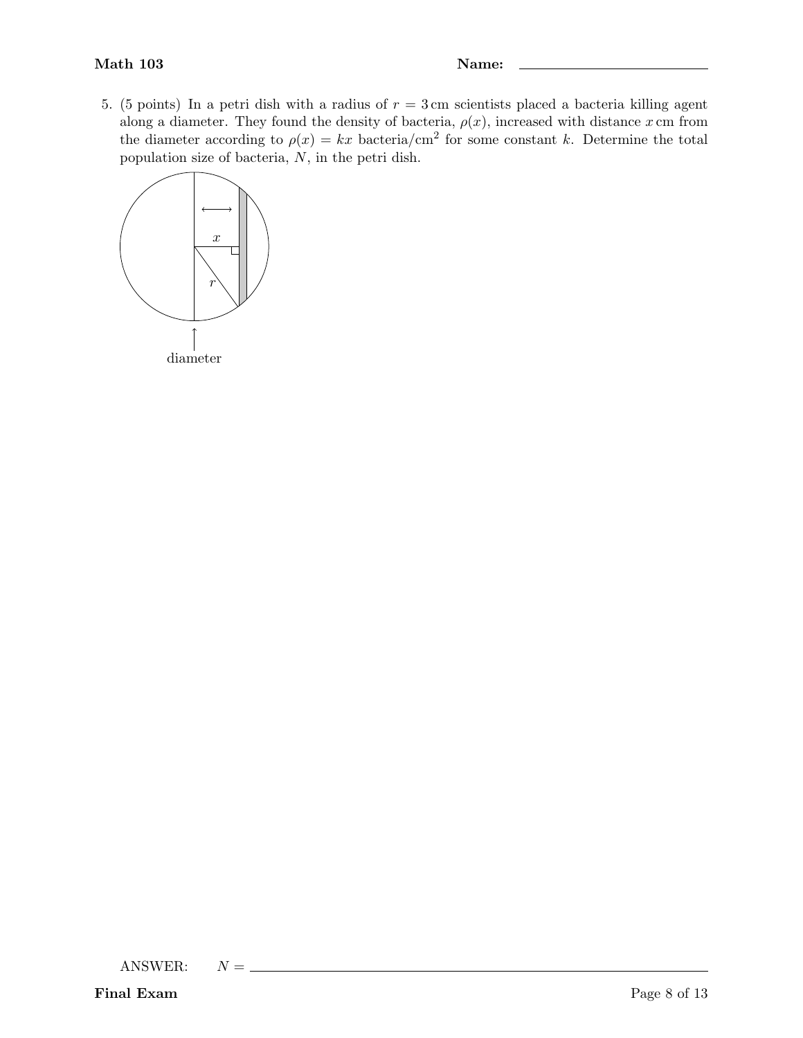5. (5 points) In a petri dish with a radius of  $r = 3$  cm scientists placed a bacteria killing agent along a diameter. They found the density of bacteria,  $\rho(x)$ , increased with distance x cm from the diameter according to  $\rho(x) = kx$  bacteria/cm<sup>2</sup> for some constant k. Determine the total population size of bacteria,  $N$ , in the petri dish.



ANSWER:  $N =$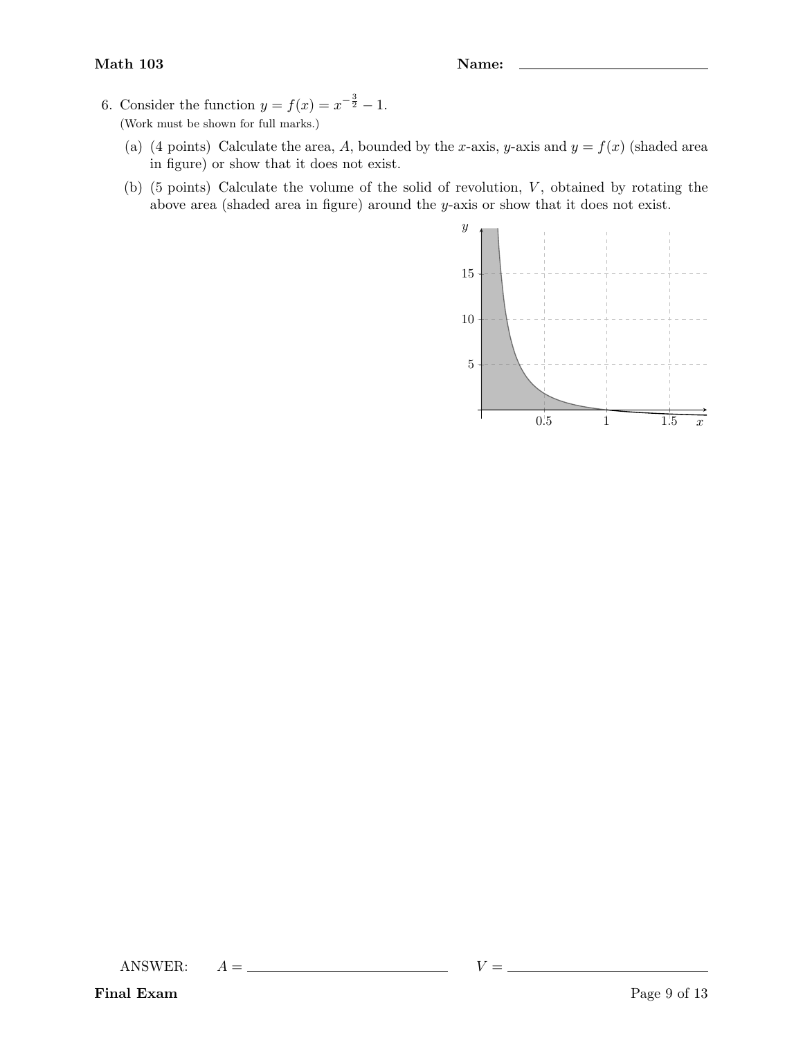- 6. Consider the function  $y = f(x) = x^{-\frac{3}{2}} 1$ . (Work must be shown for full marks.)
	- (a) (4 points) Calculate the area, A, bounded by the x-axis, y-axis and  $y = f(x)$  (shaded area in figure) or show that it does not exist.
	- (b)  $(5 \text{ points})$  Calculate the volume of the solid of revolution,  $V$ , obtained by rotating the above area (shaded area in figure) around the y-axis or show that it does not exist.



ANSWER:  $A = \_$ 

Final Exam Page 9 of 13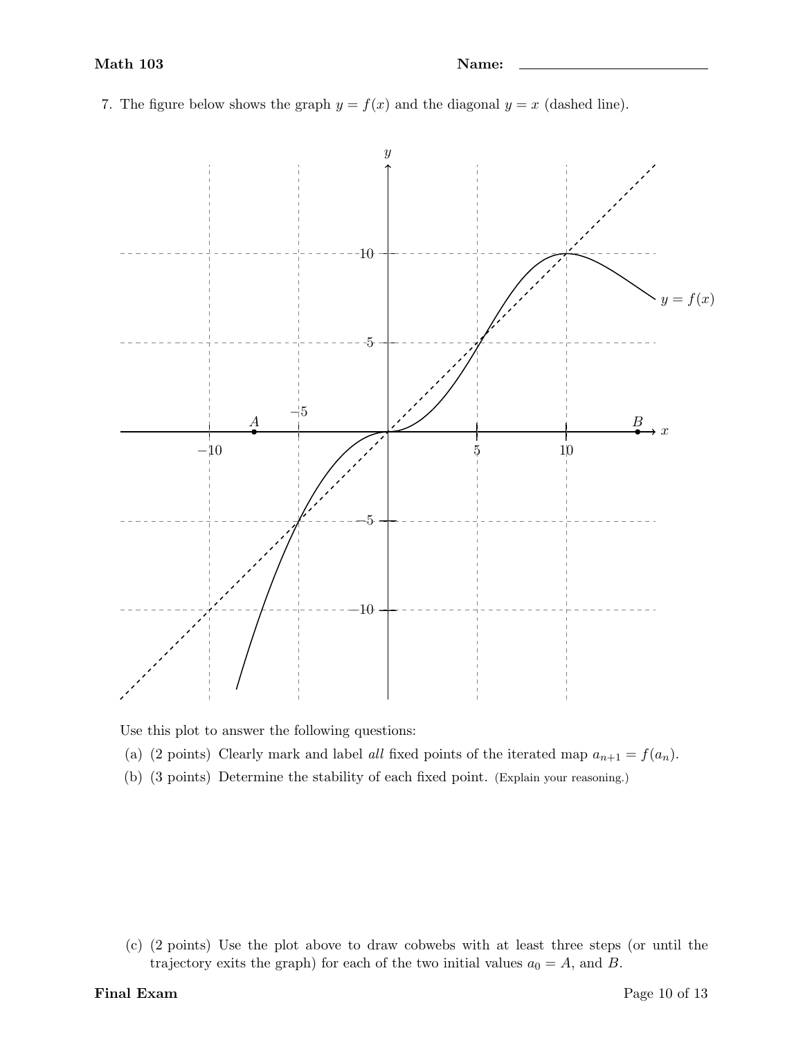7. The figure below shows the graph  $y = f(x)$  and the diagonal  $y = x$  (dashed line).



Use this plot to answer the following questions:

- (a) (2 points) Clearly mark and label all fixed points of the iterated map  $a_{n+1} = f(a_n)$ .
- (b) (3 points) Determine the stability of each fixed point. (Explain your reasoning.)

(c) (2 points) Use the plot above to draw cobwebs with at least three steps (or until the trajectory exits the graph) for each of the two initial values  $a_0 = A$ , and B.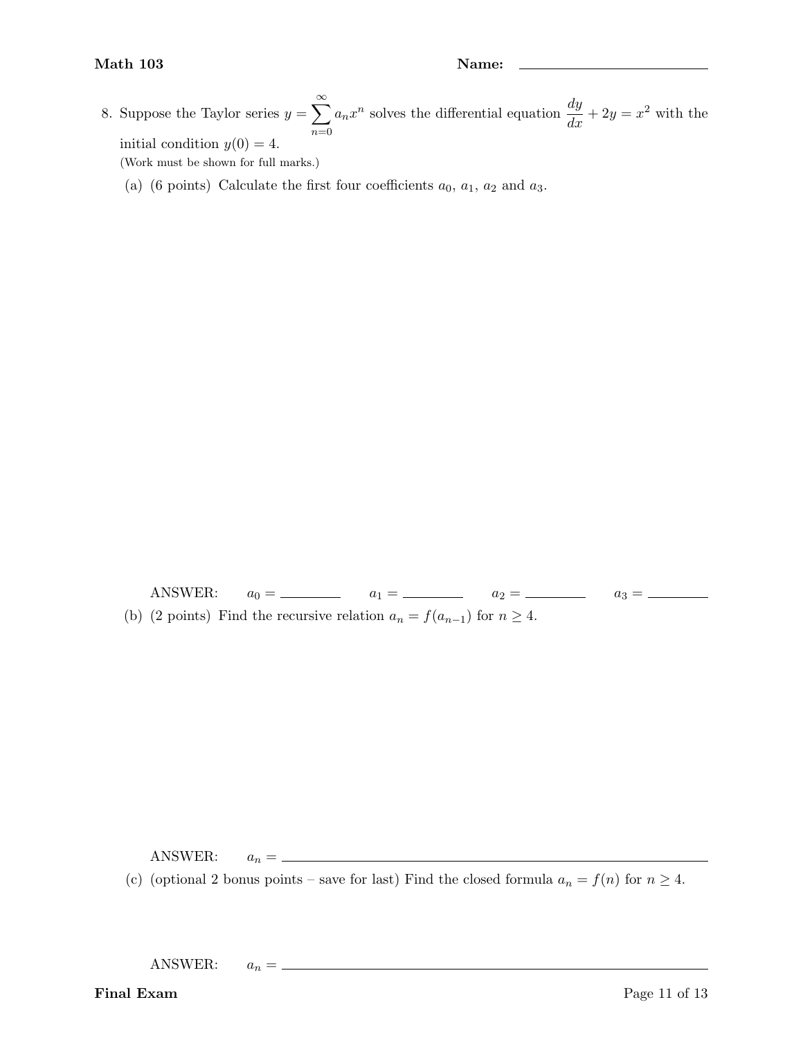8. Suppose the Taylor series  $y = \sum_{n=1}^{\infty}$  $n=0$  $a_n x^n$  solves the differential equation  $\frac{dy}{dx} + 2y = x^2$  with the initial condition  $y(0) = 4$ .

(Work must be shown for full marks.)

(a) (6 points) Calculate the first four coefficients  $a_0$ ,  $a_1$ ,  $a_2$  and  $a_3$ .

ANSWER: a<sup>0</sup> = a<sup>1</sup> = a<sup>2</sup> = a<sup>3</sup> = (b) (2 points) Find the recursive relation  $a_n = f(a_{n-1})$  for  $n \ge 4$ .

ANSWER:  $a_n = \_$ 

(c) (optional 2 bonus points – save for last) Find the closed formula  $a_n = f(n)$  for  $n \ge 4$ .

ANSWER:  $a_n = \_$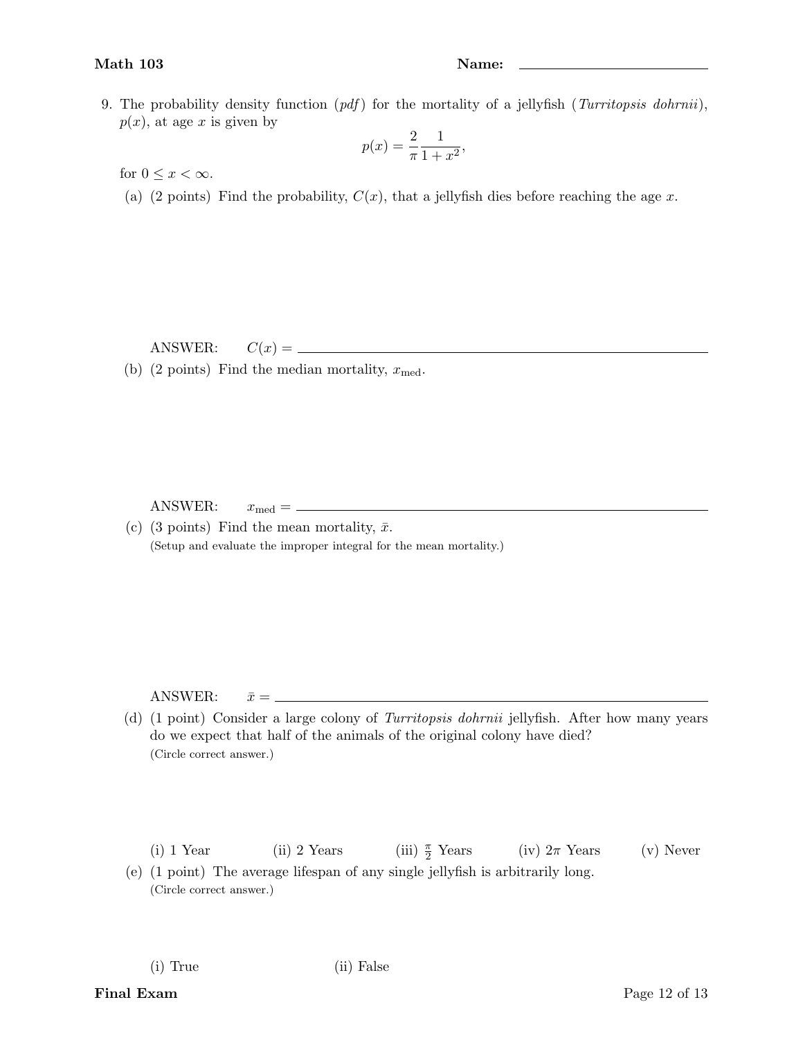9. The probability density function  $(pdf)$  for the mortality of a jellyfish  $(Turritopsis\,\,)$ ,  $p(x)$ , at age x is given by

$$
p(x) = \frac{2}{\pi} \frac{1}{1 + x^2},
$$

for  $0 \leq x < \infty$ .

(a) (2 points) Find the probability,  $C(x)$ , that a jellyfish dies before reaching the age x.

ANSWER: C(x) =

(b) (2 points) Find the median mortality,  $x_{\text{med}}$ .

ANSWER: xmed =

(c) (3 points) Find the mean mortality,  $\bar{x}$ . (Setup and evaluate the improper integral for the mean mortality.)

ANSWER: ¯x =

(d) (1 point) Consider a large colony of Turritopsis dohrnii jellyfish. After how many years do we expect that half of the animals of the original colony have died? (Circle correct answer.)

(i) 1 Year (ii) 2 Years (iii)  $\frac{\pi}{2}$  Years  $(iv)$  2π Years (v) Never

(i) True (ii) False

Final Exam Page 12 of 13

<sup>(</sup>e) (1 point) The average lifespan of any single jellyfish is arbitrarily long. (Circle correct answer.)